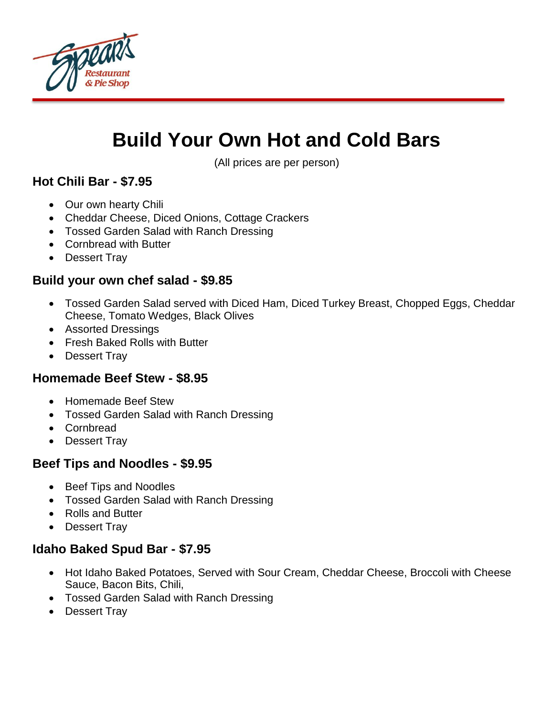

# **Build Your Own Hot and Cold Bars**

(All prices are per person)

### **Hot Chili Bar - \$7.95**

- Our own hearty Chili
- Cheddar Cheese, Diced Onions, Cottage Crackers
- Tossed Garden Salad with Ranch Dressing
- Cornbread with Butter
- Dessert Tray

#### **Build your own chef salad - \$9.85**

- Tossed Garden Salad served with Diced Ham, Diced Turkey Breast, Chopped Eggs, Cheddar Cheese, Tomato Wedges, Black Olives
- Assorted Dressings
- Fresh Baked Rolls with Butter
- Dessert Trav

#### **Homemade Beef Stew - \$8.95**

- Homemade Beef Stew
- Tossed Garden Salad with Ranch Dressing
- Cornbread
- Dessert Tray

#### **Beef Tips and Noodles - \$9.95**

- Beef Tips and Noodles
- Tossed Garden Salad with Ranch Dressing
- Rolls and Butter
- Dessert Tray

#### **Idaho Baked Spud Bar - \$7.95**

- Hot Idaho Baked Potatoes, Served with Sour Cream, Cheddar Cheese, Broccoli with Cheese Sauce, Bacon Bits, Chili,
- Tossed Garden Salad with Ranch Dressing
- Dessert Tray